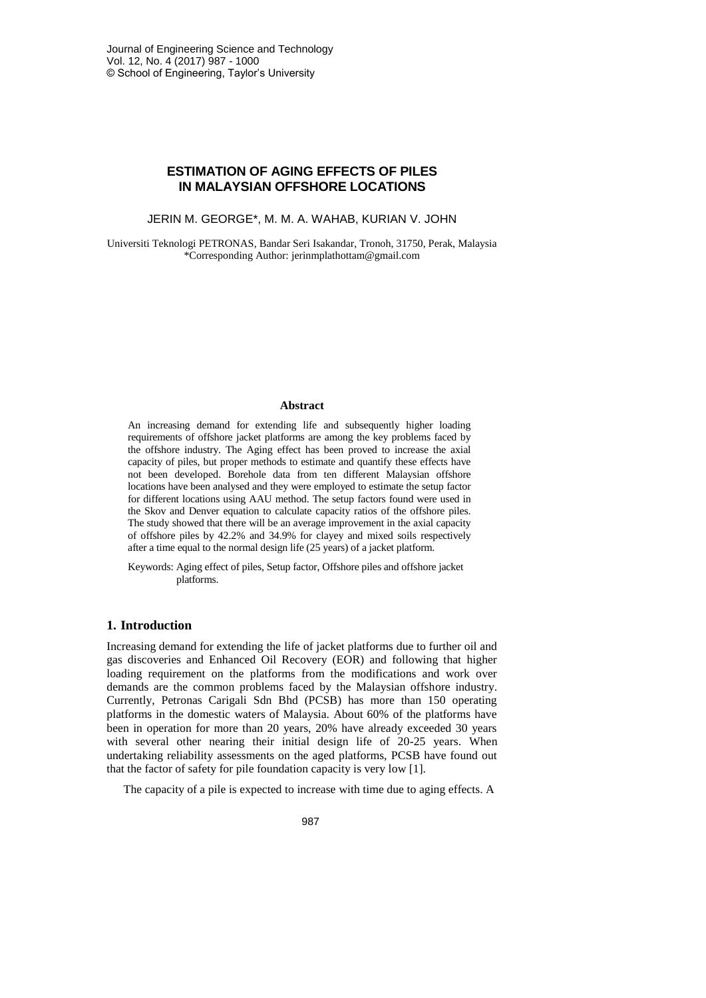# **ESTIMATION OF AGING EFFECTS OF PILES IN MALAYSIAN OFFSHORE LOCATIONS**

JERIN M. GEORGE\*, M. M. A. WAHAB, KURIAN V. JOHN

Universiti Teknologi PETRONAS, Bandar Seri Isakandar, Tronoh, 31750, Perak, Malaysia \*Corresponding Author: jerinmplathottam@gmail.com

#### **Abstract**

An increasing demand for extending life and subsequently higher loading requirements of offshore jacket platforms are among the key problems faced by the offshore industry. The Aging effect has been proved to increase the axial capacity of piles, but proper methods to estimate and quantify these effects have not been developed. Borehole data from ten different Malaysian offshore locations have been analysed and they were employed to estimate the setup factor for different locations using AAU method. The setup factors found were used in the Skov and Denver equation to calculate capacity ratios of the offshore piles. The study showed that there will be an average improvement in the axial capacity of offshore piles by 42.2% and 34.9% for clayey and mixed soils respectively after a time equal to the normal design life (25 years) of a jacket platform.

Keywords: Aging effect of piles, Setup factor, Offshore piles and offshore jacket platforms.

#### **1. Introduction**

Increasing demand for extending the life of jacket platforms due to further oil and gas discoveries and Enhanced Oil Recovery (EOR) and following that higher loading requirement on the platforms from the modifications and work over demands are the common problems faced by the Malaysian offshore industry. Currently, Petronas Carigali Sdn Bhd (PCSB) has more than 150 operating platforms in the domestic waters of Malaysia. About 60% of the platforms have been in operation for more than 20 years, 20% have already exceeded 30 years with several other nearing their initial design life of 20-25 years. When undertaking reliability assessments on the aged platforms, PCSB have found out that the factor of safety for pile foundation capacity is very low [1].

The capacity of a pile is expected to increase with time due to aging effects. A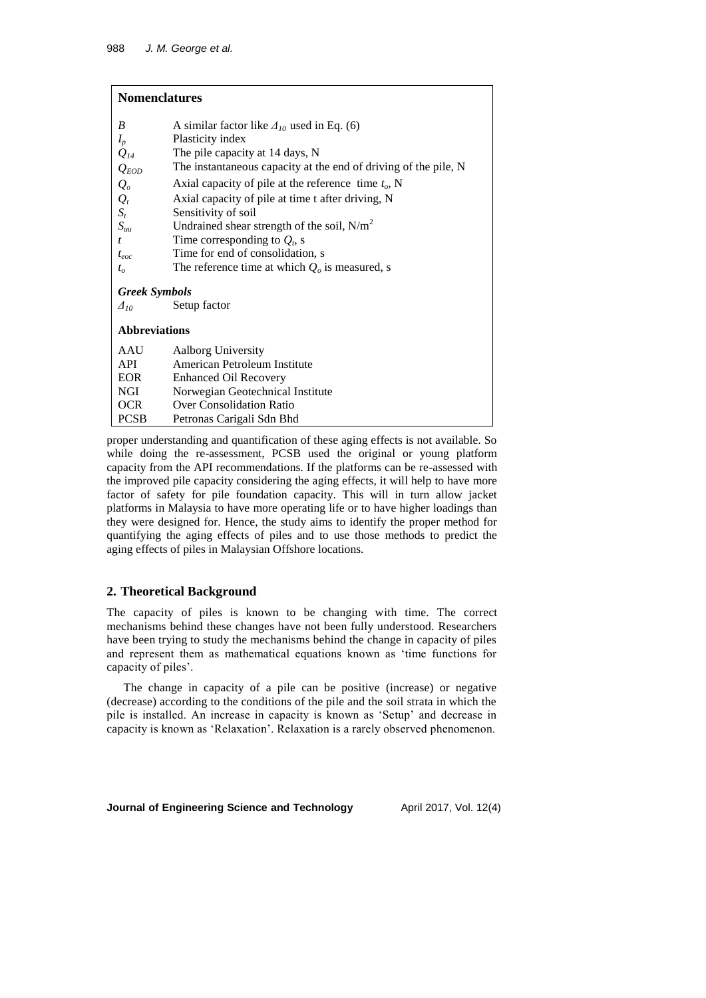# **Nomenclatures**

| B                                        | A similar factor like $\Delta_{10}$ used in Eq. (6)             |  |  |  |  |  |
|------------------------------------------|-----------------------------------------------------------------|--|--|--|--|--|
| $I_p$                                    | Plasticity index                                                |  |  |  |  |  |
| $Q_{14}$                                 | The pile capacity at 14 days, N                                 |  |  |  |  |  |
| $Q_{EOD}$                                | The instantaneous capacity at the end of driving of the pile, N |  |  |  |  |  |
| $Q_o$                                    | Axial capacity of pile at the reference time $t_o$ , N          |  |  |  |  |  |
| $Q_t$                                    | Axial capacity of pile at time t after driving, N               |  |  |  |  |  |
| $S_t$                                    | Sensitivity of soil                                             |  |  |  |  |  |
| $S_{uu}$                                 | Undrained shear strength of the soil, $N/m^2$                   |  |  |  |  |  |
| $\mathbf{f}$                             | Time corresponding to $Q_t$ , s                                 |  |  |  |  |  |
| $t_{eoc}$                                | Time for end of consolidation, s                                |  |  |  |  |  |
| $t_{\alpha}$                             | The reference time at which $Qo$ is measured, s                 |  |  |  |  |  |
| <b>Greek Symbols</b><br>$\varDelta_{10}$ | Setup factor                                                    |  |  |  |  |  |
| <b>Abbreviations</b>                     |                                                                 |  |  |  |  |  |
| AAU                                      | <b>Aalborg University</b>                                       |  |  |  |  |  |
| API                                      | American Petroleum Institute                                    |  |  |  |  |  |
| EOR                                      | <b>Enhanced Oil Recovery</b>                                    |  |  |  |  |  |
| NGI                                      | Norwegian Geotechnical Institute                                |  |  |  |  |  |
| OCR.                                     | <b>Over Consolidation Ratio</b>                                 |  |  |  |  |  |
| <b>PCSB</b>                              | Petronas Carigali Sdn Bhd                                       |  |  |  |  |  |

proper understanding and quantification of these aging effects is not available. So while doing the re-assessment, PCSB used the original or young platform capacity from the API recommendations. If the platforms can be re-assessed with the improved pile capacity considering the aging effects, it will help to have more factor of safety for pile foundation capacity. This will in turn allow jacket platforms in Malaysia to have more operating life or to have higher loadings than they were designed for. Hence, the study aims to identify the proper method for quantifying the aging effects of piles and to use those methods to predict the aging effects of piles in Malaysian Offshore locations.

## **2. Theoretical Background**

The capacity of piles is known to be changing with time. The correct mechanisms behind these changes have not been fully understood. Researchers have been trying to study the mechanisms behind the change in capacity of piles and represent them as mathematical equations known as 'time functions for capacity of piles'.

The change in capacity of a pile can be positive (increase) or negative (decrease) according to the conditions of the pile and the soil strata in which the pile is installed. An increase in capacity is known as 'Setup' and decrease in capacity is known as 'Relaxation'. Relaxation is a rarely observed phenomenon.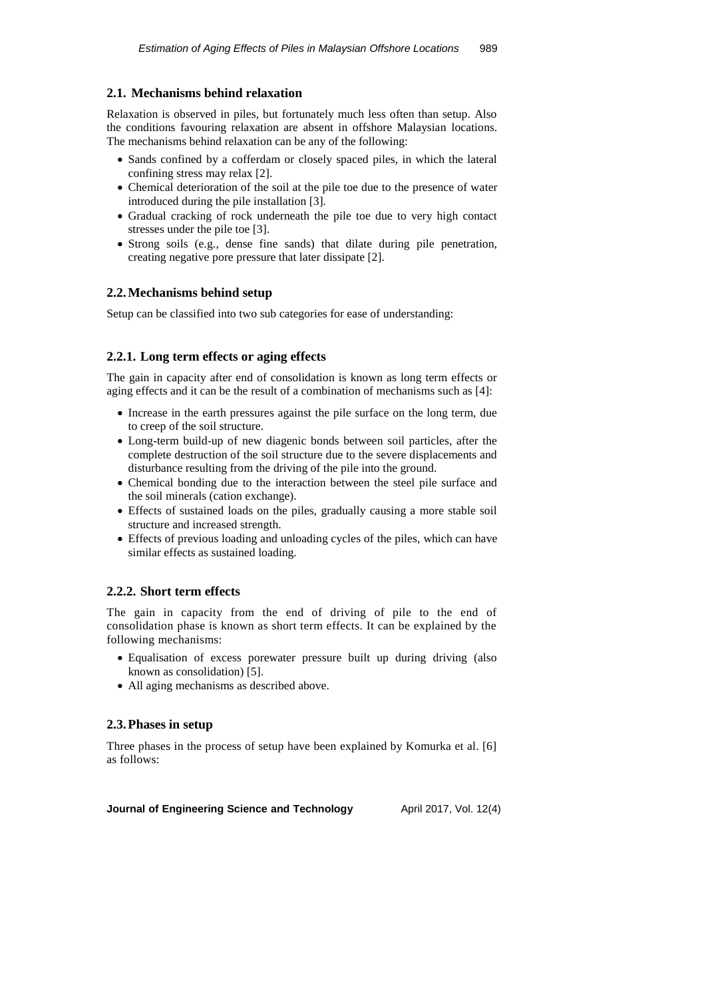## **2.1. Mechanisms behind relaxation**

Relaxation is observed in piles, but fortunately much less often than setup. Also the conditions favouring relaxation are absent in offshore Malaysian locations. The mechanisms behind relaxation can be any of the following:

- Sands confined by a cofferdam or closely spaced piles, in which the lateral confining stress may relax [2].
- Chemical deterioration of the soil at the pile toe due to the presence of water introduced during the pile installation [3].
- Gradual cracking of rock underneath the pile toe due to very high contact stresses under the pile toe [3].
- Strong soils (e.g., dense fine sands) that dilate during pile penetration, creating negative pore pressure that later dissipate [2].

## **2.2.Mechanisms behind setup**

Setup can be classified into two sub categories for ease of understanding:

## **2.2.1. Long term effects or aging effects**

The gain in capacity after end of consolidation is known as long term effects or aging effects and it can be the result of a combination of mechanisms such as [4]:

- Increase in the earth pressures against the pile surface on the long term, due to creep of the soil structure.
- Long-term build-up of new diagenic bonds between soil particles, after the complete destruction of the soil structure due to the severe displacements and disturbance resulting from the driving of the pile into the ground.
- Chemical bonding due to the interaction between the steel pile surface and the soil minerals (cation exchange).
- Effects of sustained loads on the piles, gradually causing a more stable soil structure and increased strength.
- Effects of previous loading and unloading cycles of the piles, which can have similar effects as sustained loading.

## **2.2.2. Short term effects**

The gain in capacity from the end of driving of pile to the end of consolidation phase is known as short term effects. It can be explained by the following mechanisms:

- Equalisation of excess porewater pressure built up during driving (also known as consolidation) [5].
- All aging mechanisms as described above.

## **2.3.Phases in setup**

Three phases in the process of setup have been explained by Komurka et al. [6] as follows: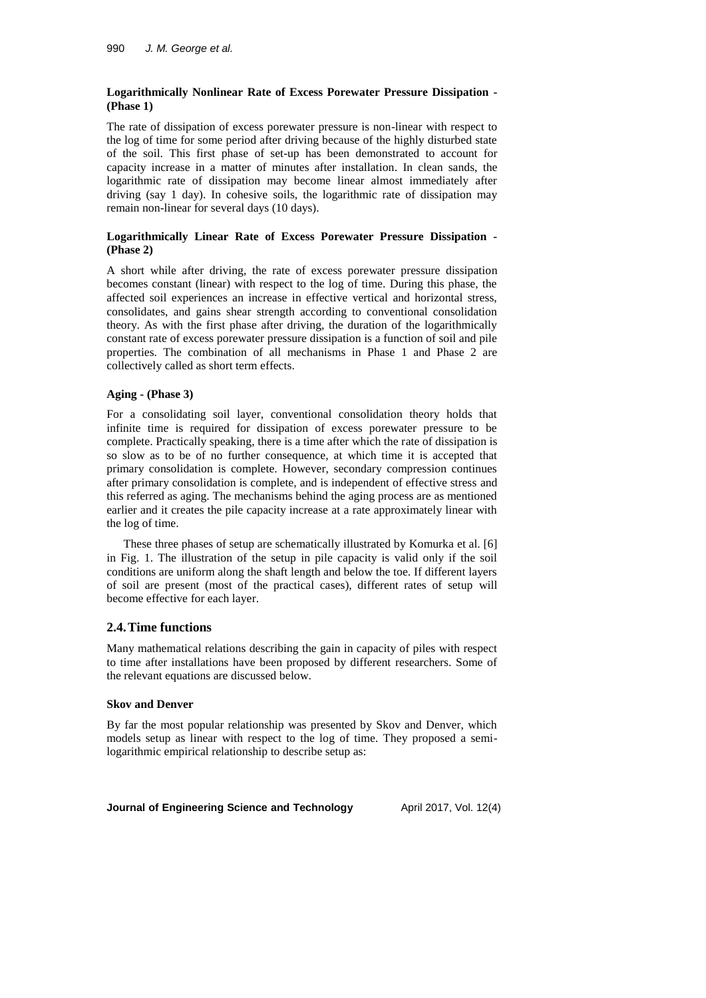## **Logarithmically Nonlinear Rate of Excess Porewater Pressure Dissipation - (Phase 1)**

The rate of dissipation of excess porewater pressure is non-linear with respect to the log of time for some period after driving because of the highly disturbed state of the soil. This first phase of set-up has been demonstrated to account for capacity increase in a matter of minutes after installation. In clean sands, the logarithmic rate of dissipation may become linear almost immediately after driving (say 1 day). In cohesive soils, the logarithmic rate of dissipation may remain non-linear for several days (10 days).

## **Logarithmically Linear Rate of Excess Porewater Pressure Dissipation - (Phase 2)**

A short while after driving, the rate of excess porewater pressure dissipation becomes constant (linear) with respect to the log of time. During this phase, the affected soil experiences an increase in effective vertical and horizontal stress, consolidates, and gains shear strength according to conventional consolidation theory. As with the first phase after driving, the duration of the logarithmically constant rate of excess porewater pressure dissipation is a function of soil and pile properties. The combination of all mechanisms in Phase 1 and Phase 2 are collectively called as short term effects.

## **Aging - (Phase 3)**

For a consolidating soil layer, conventional consolidation theory holds that infinite time is required for dissipation of excess porewater pressure to be complete. Practically speaking, there is a time after which the rate of dissipation is so slow as to be of no further consequence, at which time it is accepted that primary consolidation is complete. However, secondary compression continues after primary consolidation is complete, and is independent of effective stress and this referred as aging. The mechanisms behind the aging process are as mentioned earlier and it creates the pile capacity increase at a rate approximately linear with the log of time.

These three phases of setup are schematically illustrated by Komurka et al. [6] in Fig. 1. The illustration of the setup in pile capacity is valid only if the soil conditions are uniform along the shaft length and below the toe. If different layers of soil are present (most of the practical cases), different rates of setup will become effective for each layer.

## **2.4.Time functions**

Many mathematical relations describing the gain in capacity of piles with respect to time after installations have been proposed by different researchers. Some of the relevant equations are discussed below.

### **Skov and Denver**

By far the most popular relationship was presented by Skov and Denver, which models setup as linear with respect to the log of time. They proposed a semilogarithmic empirical relationship to describe setup as: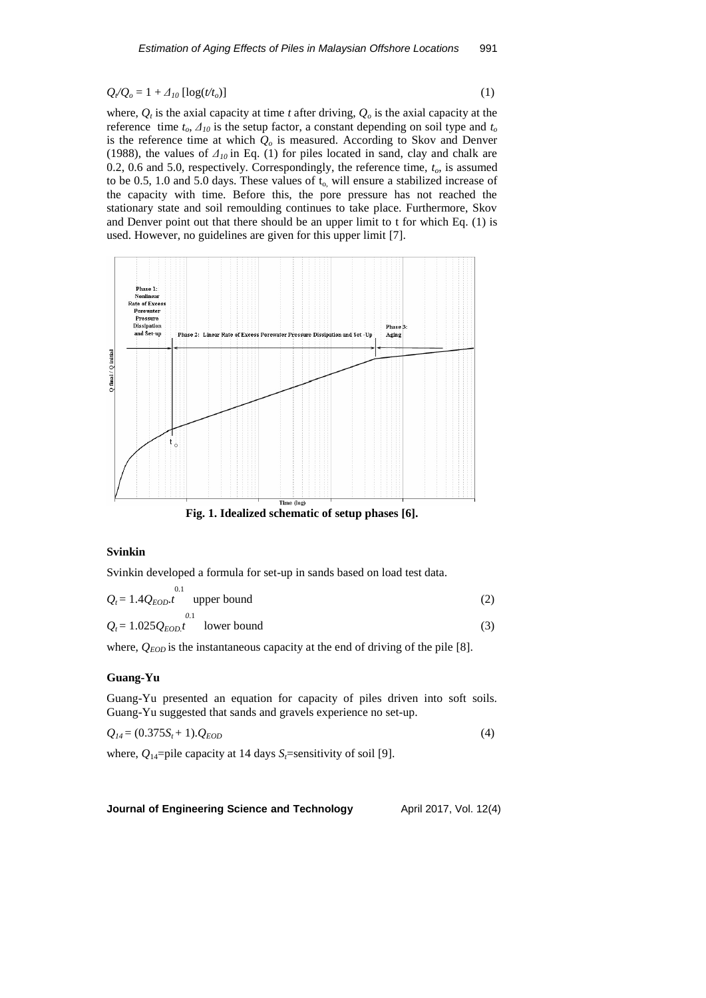## $Q_{\ell}Q_o = 1 + A_{10} [\log(t/t_o)]$  (1)

where,  $Q_t$  is the axial capacity at time *t* after driving,  $Q_o$  is the axial capacity at the reference time  $t_o$ ,  $\Delta_{10}$  is the setup factor, a constant depending on soil type and  $t_o$ is the reference time at which *Q<sup>o</sup>* is measured. According to Skov and Denver (1988), the values of  $\Delta_{10}$  in Eq. (1) for piles located in sand, clay and chalk are 0.2, 0.6 and 5.0, respectively. Correspondingly, the reference time, *to*, is assumed to be 0.5, 1.0 and 5.0 days. These values of  $t_0$ , will ensure a stabilized increase of the capacity with time. Before this, the pore pressure has not reached the stationary state and soil remoulding continues to take place. Furthermore, Skov and Denver point out that there should be an upper limit to t for which Eq. (1) is used. However, no guidelines are given for this upper limit [7].



### **Svinkin**

Svinkin developed a formula for set-up in sands based on load test data.

$$
Q_t = 1.4 Q_{EOD}.t
$$
<sup>0.1</sup> upper bound  

$$
Q_t = 1.025 Q_{EOD}.t
$$
<sup>0.1</sup> lower bound (3)

where,  $Q_{EOD}$  is the instantaneous capacity at the end of driving of the pile [8].

### **Guang-Yu**

Guang-Yu presented an equation for capacity of piles driven into soft soils. Guang-Yu suggested that sands and gravels experience no set-up.

$$
Q_{14} = (0.375S_t + 1).Q_{EOD} \tag{4}
$$

where,  $Q_{14}$ =pile capacity at 14 days  $S_t$ =sensitivity of soil [9].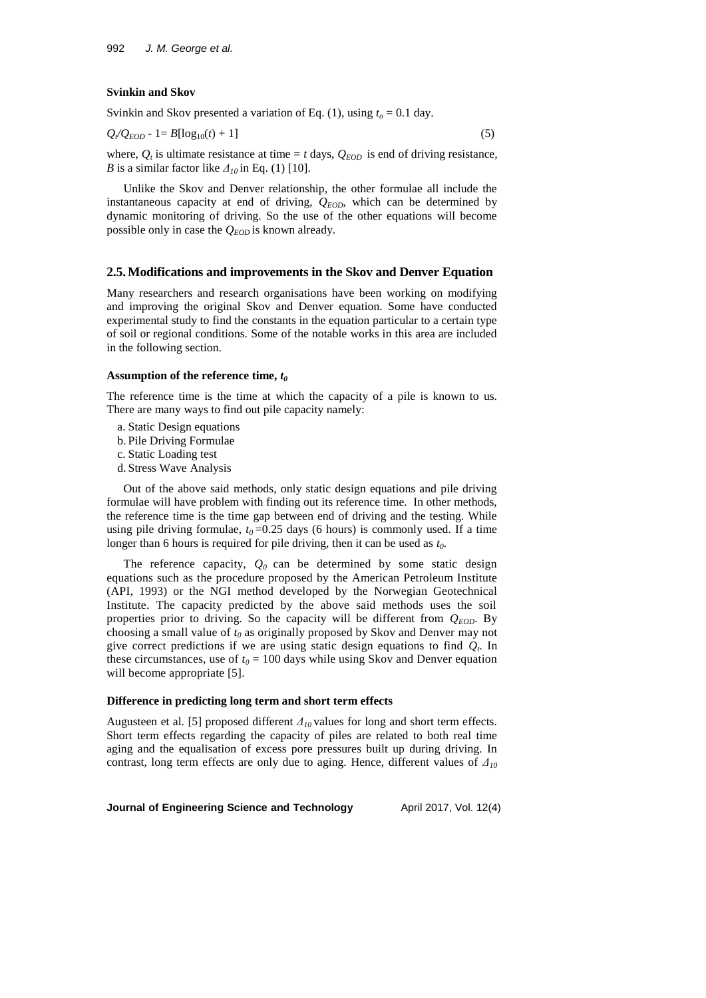### **Svinkin and Skov**

Svinkin and Skov presented a variation of Eq. (1), using  $t<sub>o</sub> = 0.1$  day.

$$
Q_{\ell}Q_{EOD} - 1 = B[\log_{10}(t) + 1]
$$
 (5)

where,  $Q_t$  is ultimate resistance at time = *t* days,  $Q_{EOD}$  is end of driving resistance, *B* is a similar factor like  $\Delta_{10}$  in Eq. (1) [10].

Unlike the Skov and Denver relationship, the other formulae all include the instantaneous capacity at end of driving,  $Q_{FOD}$ , which can be determined by dynamic monitoring of driving. So the use of the other equations will become possible only in case the *QEOD* is known already.

### **2.5.Modifications and improvements in the Skov and Denver Equation**

Many researchers and research organisations have been working on modifying and improving the original Skov and Denver equation. Some have conducted experimental study to find the constants in the equation particular to a certain type of soil or regional conditions. Some of the notable works in this area are included in the following section.

### **Assumption of the reference time,** *t<sup>0</sup>*

The reference time is the time at which the capacity of a pile is known to us. There are many ways to find out pile capacity namely:

- a. Static Design equations
- b. Pile Driving Formulae
- c. Static Loading test
- d. Stress Wave Analysis

Out of the above said methods, only static design equations and pile driving formulae will have problem with finding out its reference time. In other methods, the reference time is the time gap between end of driving and the testing. While using pile driving formulae,  $t_0$ =0.25 days (6 hours) is commonly used. If a time longer than 6 hours is required for pile driving, then it can be used as *t0*.

The reference capacity,  $Q_0$  can be determined by some static design equations such as the procedure proposed by the American Petroleum Institute (API, 1993) or the NGI method developed by the Norwegian Geotechnical Institute. The capacity predicted by the above said methods uses the soil properties prior to driving. So the capacity will be different from  $Q_{EOD}$ . By choosing a small value of *t<sup>0</sup>* as originally proposed by Skov and Denver may not give correct predictions if we are using static design equations to find *Q<sup>t</sup>* . In these circumstances, use of  $t_0 = 100$  days while using Skov and Denver equation will become appropriate [5].

#### **Difference in predicting long term and short term effects**

Augusteen et al. [5] proposed different *Δ<sup>10</sup>* values for long and short term effects. Short term effects regarding the capacity of piles are related to both real time aging and the equalisation of excess pore pressures built up during driving. In contrast, long term effects are only due to aging. Hence, different values of *Δ10*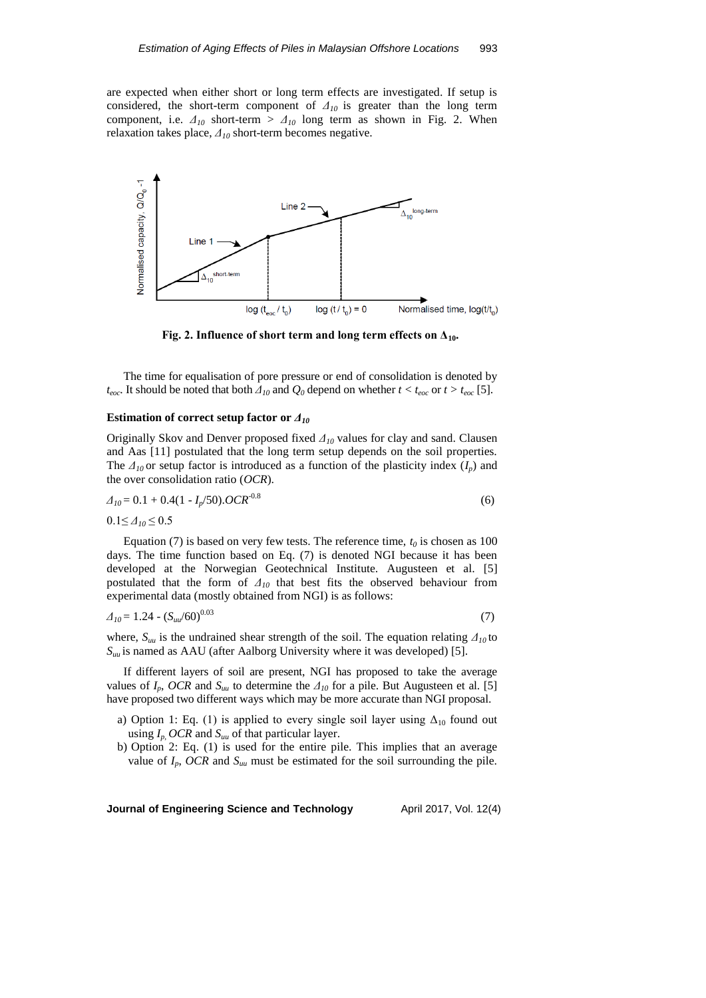are expected when either short or long term effects are investigated. If setup is considered, the short-term component of *Δ<sup>10</sup>* is greater than the long term component, i.e.  $\Delta_{10}$  short-term  $> \Delta_{10}$  long term as shown in Fig. 2. When relaxation takes place, *Δ<sup>10</sup>* short-term becomes negative.



**Fig. 2. Influence of short term and long term effects on**  $\Delta_{10}$ **.** 

The time for equalisation of pore pressure or end of consolidation is denoted by *t*<sub>eoc</sub>. It should be noted that both  $\Delta_{10}$  and  $Q_0$  depend on whether  $t < t_{eoc}$  or  $t > t_{eoc}$  [5].

#### **Estimation of correct setup factor or** *Δ<sup>10</sup>*

Originally Skov and Denver proposed fixed *Δ<sup>10</sup>* values for clay and sand. Clausen and Aas [11] postulated that the long term setup depends on the soil properties. The  $\Delta_{10}$  or setup factor is introduced as a function of the plasticity index ( $I_p$ ) and the over consolidation ratio (*OCR*).

$$
\Delta_{10} = 0.1 + 0.4(1 - I_p/50).OCR^{-0.8}
$$
\n(6)

 $0.1 \leq \Delta_{10} \leq 0.5$ 

Equation (7) is based on very few tests. The reference time,  $t_0$  is chosen as 100 days. The time function based on Eq. (7) is denoted NGI because it has been developed at the Norwegian Geotechnical Institute. Augusteen et al. [5] postulated that the form of *Δ<sup>10</sup>* that best fits the observed behaviour from experimental data (mostly obtained from NGI) is as follows:

$$
\Delta_{10} = 1.24 \cdot (S_{uu}/60)^{0.03} \tag{7}
$$

where,  $S_{uu}$  is the undrained shear strength of the soil. The equation relating  $\Delta_{10}$  to  $S_{uu}$  is named as AAU (after Aalborg University where it was developed) [5].

If different layers of soil are present, NGI has proposed to take the average values of  $I_p$ , *OCR* and  $S_{uu}$  to determine the  $\Delta_{10}$  for a pile. But Augusteen et al. [5] have proposed two different ways which may be more accurate than NGI proposal.

- a) Option 1: Eq. (1) is applied to every single soil layer using  $\Delta_{10}$  found out using *Ip*, *OCR* and *Suu* of that particular layer.
- b) Option 2: Eq. (1) is used for the entire pile. This implies that an average value of  $I_p$ , *OCR* and  $S_{uu}$  must be estimated for the soil surrounding the pile.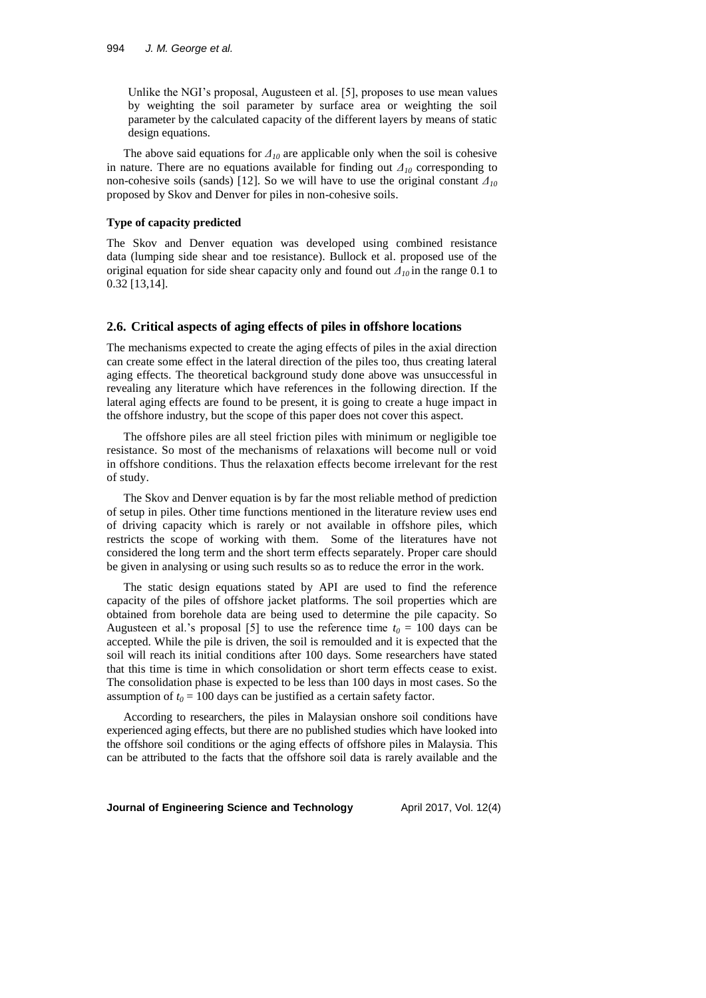Unlike the NGI's proposal, Augusteen et al. [5], proposes to use mean values by weighting the soil parameter by surface area or weighting the soil parameter by the calculated capacity of the different layers by means of static design equations.

The above said equations for  $\Delta_{10}$  are applicable only when the soil is cohesive in nature. There are no equations available for finding out *Δ<sup>10</sup>* corresponding to non-cohesive soils (sands) [12]. So we will have to use the original constant *Δ<sup>10</sup>* proposed by Skov and Denver for piles in non-cohesive soils.

#### **Type of capacity predicted**

The Skov and Denver equation was developed using combined resistance data (lumping side shear and toe resistance). Bullock et al. proposed use of the original equation for side shear capacity only and found out *Δ<sup>10</sup>* in the range 0.1 to 0.32 [13,14].

### **2.6. Critical aspects of aging effects of piles in offshore locations**

The mechanisms expected to create the aging effects of piles in the axial direction can create some effect in the lateral direction of the piles too, thus creating lateral aging effects. The theoretical background study done above was unsuccessful in revealing any literature which have references in the following direction. If the lateral aging effects are found to be present, it is going to create a huge impact in the offshore industry, but the scope of this paper does not cover this aspect.

The offshore piles are all steel friction piles with minimum or negligible toe resistance. So most of the mechanisms of relaxations will become null or void in offshore conditions. Thus the relaxation effects become irrelevant for the rest of study.

The Skov and Denver equation is by far the most reliable method of prediction of setup in piles. Other time functions mentioned in the literature review uses end of driving capacity which is rarely or not available in offshore piles, which restricts the scope of working with them. Some of the literatures have not considered the long term and the short term effects separately. Proper care should be given in analysing or using such results so as to reduce the error in the work.

The static design equations stated by API are used to find the reference capacity of the piles of offshore jacket platforms. The soil properties which are obtained from borehole data are being used to determine the pile capacity. So Augusteen et al.'s proposal [5] to use the reference time  $t_0 = 100$  days can be accepted. While the pile is driven, the soil is remoulded and it is expected that the soil will reach its initial conditions after 100 days. Some researchers have stated that this time is time in which consolidation or short term effects cease to exist. The consolidation phase is expected to be less than 100 days in most cases. So the assumption of  $t_0 = 100$  days can be justified as a certain safety factor.

According to researchers, the piles in Malaysian onshore soil conditions have experienced aging effects, but there are no published studies which have looked into the offshore soil conditions or the aging effects of offshore piles in Malaysia. This can be attributed to the facts that the offshore soil data is rarely available and the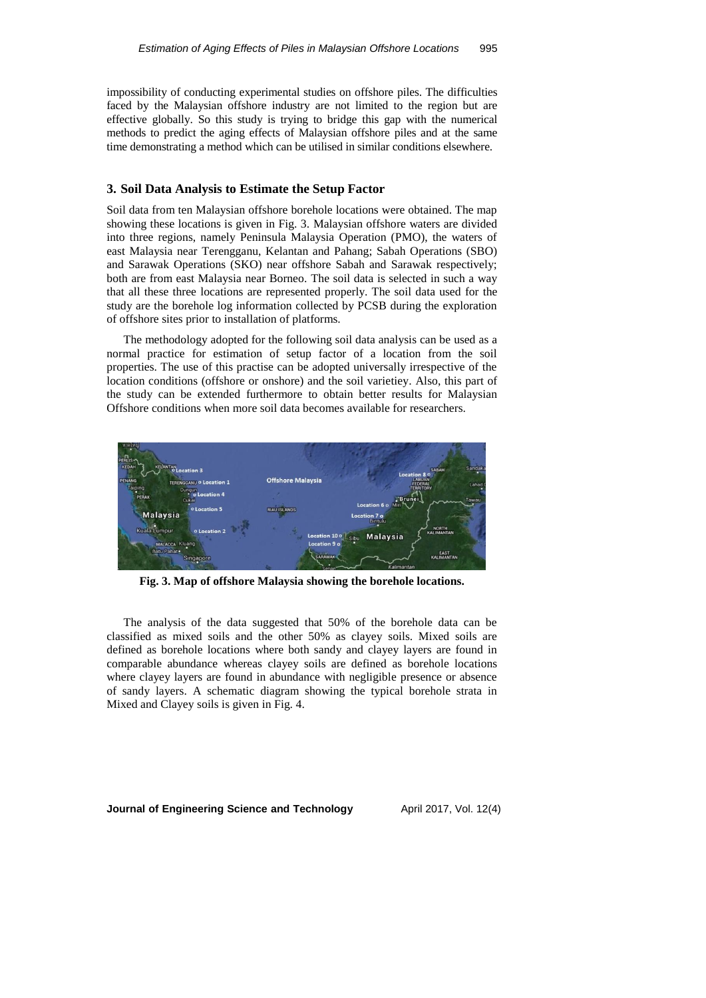impossibility of conducting experimental studies on offshore piles. The difficulties faced by the Malaysian offshore industry are not limited to the region but are effective globally. So this study is trying to bridge this gap with the numerical methods to predict the aging effects of Malaysian offshore piles and at the same time demonstrating a method which can be utilised in similar conditions elsewhere.

### **3. Soil Data Analysis to Estimate the Setup Factor**

Soil data from ten Malaysian offshore borehole locations were obtained. The map showing these locations is given in Fig. 3. Malaysian offshore waters are divided into three regions, namely Peninsula Malaysia Operation (PMO), the waters of east Malaysia near Terengganu, Kelantan and Pahang; Sabah Operations (SBO) and Sarawak Operations (SKO) near offshore Sabah and Sarawak respectively; both are from east Malaysia near Borneo. The soil data is selected in such a way that all these three locations are represented properly. The soil data used for the study are the borehole log information collected by PCSB during the exploration of offshore sites prior to installation of platforms.

The methodology adopted for the following soil data analysis can be used as a normal practice for estimation of setup factor of a location from the soil properties. The use of this practise can be adopted universally irrespective of the location conditions (offshore or onshore) and the soil varietiey. Also, this part of the study can be extended furthermore to obtain better results for Malaysian Offshore conditions when more soil data becomes available for researchers.



**Fig. 3. Map of offshore Malaysia showing the borehole locations.**

The analysis of the data suggested that 50% of the borehole data can be classified as mixed soils and the other 50% as clayey soils. Mixed soils are defined as borehole locations where both sandy and clayey layers are found in comparable abundance whereas clayey soils are defined as borehole locations where clayey layers are found in abundance with negligible presence or absence of sandy layers. A schematic diagram showing the typical borehole strata in Mixed and Clayey soils is given in Fig. 4.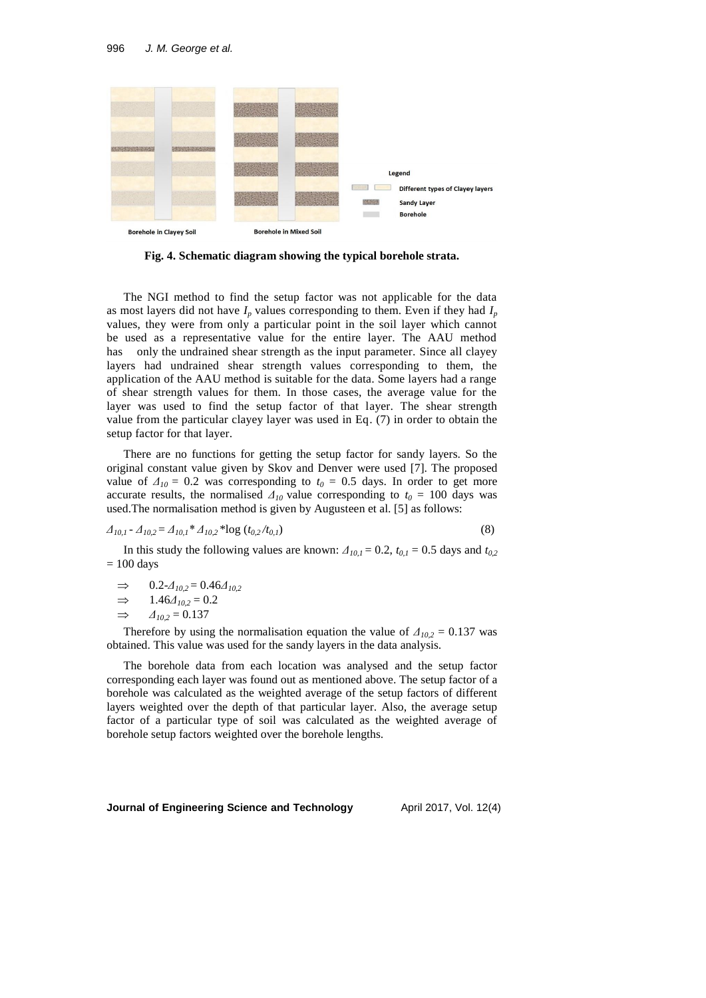

**Fig. 4. Schematic diagram showing the typical borehole strata.**

The NGI method to find the setup factor was not applicable for the data as most layers did not have  $I_p$  values corresponding to them. Even if they had  $I_p$ values, they were from only a particular point in the soil layer which cannot be used as a representative value for the entire layer. The AAU method has only the undrained shear strength as the input parameter. Since all clayey layers had undrained shear strength values corresponding to them, the application of the AAU method is suitable for the data. Some layers had a range of shear strength values for them. In those cases, the average value for the layer was used to find the setup factor of that layer. The shear strength value from the particular clayey layer was used in Eq. (7) in order to obtain the setup factor for that layer.

There are no functions for getting the setup factor for sandy layers. So the original constant value given by Skov and Denver were used [7]. The proposed value of  $\Delta_{10} = 0.2$  was corresponding to  $t_0 = 0.5$  days. In order to get more accurate results, the normalised  $\Delta_{10}$  value corresponding to  $t_0 = 100$  days was used.The normalisation method is given by Augusteen et al. [5] as follows:

$$
\Delta_{10,1} - \Delta_{10,2} = \Delta_{10,1} * \Delta_{10,2} * \log(t_{0,2}/t_{0,1})
$$
\n(8)

In this study the following values are known:  $\Delta_{10,1} = 0.2$ ,  $t_{0,1} = 0.5$  days and  $t_{0,2}$  $= 100$  days

 $\implies$  0.2- $\Delta_{10,2} = 0.46 \Delta_{10,2}$ 

$$
\Rightarrow \qquad 1.46\Delta_{10,2} = 0.2
$$

 $\implies$  *Δ*<sub>10,2</sub> = 0.137

Therefore by using the normalisation equation the value of  $\Delta_{10,2} = 0.137$  was obtained. This value was used for the sandy layers in the data analysis.

The borehole data from each location was analysed and the setup factor corresponding each layer was found out as mentioned above. The setup factor of a borehole was calculated as the weighted average of the setup factors of different layers weighted over the depth of that particular layer. Also, the average setup factor of a particular type of soil was calculated as the weighted average of borehole setup factors weighted over the borehole lengths.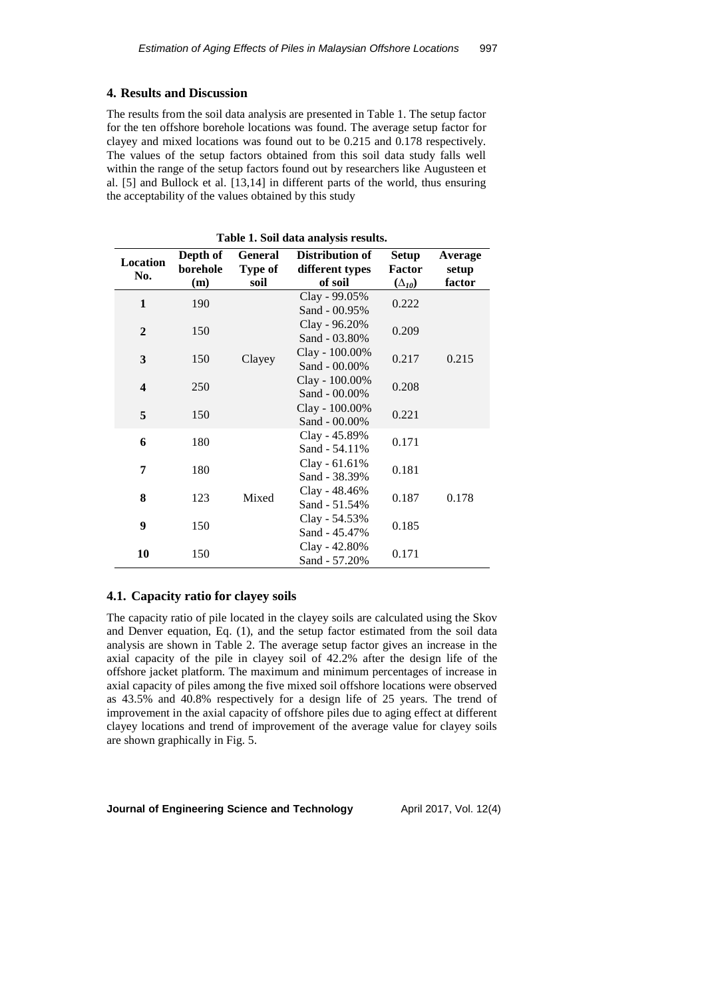### **4. Results and Discussion**

The results from the soil data analysis are presented in Table 1. The setup factor for the ten offshore borehole locations was found. The average setup factor for clayey and mixed locations was found out to be 0.215 and 0.178 respectively. The values of the setup factors obtained from this soil data study falls well within the range of the setup factors found out by researchers like Augusteen et al. [5] and Bullock et al. [13,14] in different parts of the world, thus ensuring the acceptability of the values obtained by this study

| <b>Location</b><br>No.  | Depth of<br>borehole<br>(m) | <b>General</b><br>Type of<br>soil | Distribution of<br>different types<br>of soil |       | Average<br>setup<br>factor |  |
|-------------------------|-----------------------------|-----------------------------------|-----------------------------------------------|-------|----------------------------|--|
| 1                       | 190                         |                                   | Clay - 99.05%<br>Sand - 00.95%                | 0.222 | 0.215                      |  |
| $\mathbf{2}$            | 150                         |                                   | Clay - 96.20%<br>Sand - 03.80%                | 0.209 |                            |  |
| 3                       | 150                         | Clayey                            | Clay - 100.00%<br>Sand - 00.00%               | 0.217 |                            |  |
| $\overline{\mathbf{4}}$ | 250                         |                                   | Clay - 100.00%<br>Sand - 00.00%               | 0.208 |                            |  |
| 5                       | 150                         |                                   | Clay - 100.00%<br>Sand - 00.00%               | 0.221 |                            |  |
| 6                       | 180                         |                                   | Clay - 45.89%<br>Sand - 54.11%                | 0.171 |                            |  |
| 7                       | 180                         |                                   | $Clay - 61.61\%$<br>Sand - 38.39%             | 0.181 |                            |  |
| 8                       | 123                         | Mixed                             | Clay - 48.46%<br>Sand - 51.54%                | 0.187 | 0.178                      |  |
| 9                       | 150                         |                                   | Clay - 54.53%<br>Sand - 45.47%                | 0.185 |                            |  |
| 10                      | 150                         |                                   | Clay - 42.80%<br>Sand - 57.20%                | 0.171 |                            |  |

**Table 1. Soil data analysis results.**

## **4.1. Capacity ratio for clayey soils**

The capacity ratio of pile located in the clayey soils are calculated using the Skov and Denver equation, Eq. (1), and the setup factor estimated from the soil data analysis are shown in Table 2. The average setup factor gives an increase in the axial capacity of the pile in clayey soil of 42.2% after the design life of the offshore jacket platform. The maximum and minimum percentages of increase in axial capacity of piles among the five mixed soil offshore locations were observed as 43.5% and 40.8% respectively for a design life of 25 years. The trend of improvement in the axial capacity of offshore piles due to aging effect at different clayey locations and trend of improvement of the average value for clayey soils are shown graphically in Fig. 5.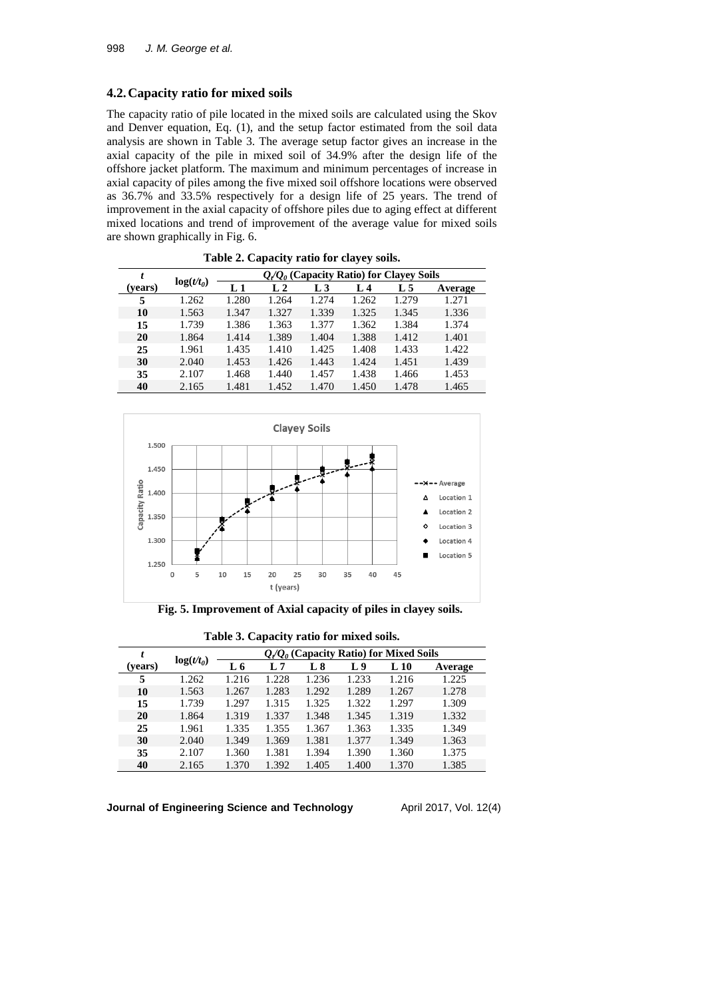## **4.2.Capacity ratio for mixed soils**

The capacity ratio of pile located in the mixed soils are calculated using the Skov and Denver equation, Eq. (1), and the setup factor estimated from the soil data analysis are shown in Table 3. The average setup factor gives an increase in the axial capacity of the pile in mixed soil of 34.9% after the design life of the offshore jacket platform. The maximum and minimum percentages of increase in axial capacity of piles among the five mixed soil offshore locations were observed as 36.7% and 33.5% respectively for a design life of 25 years. The trend of improvement in the axial capacity of offshore piles due to aging effect at different mixed locations and trend of improvement of the average value for mixed soils are shown graphically in Fig. 6.

|         |              |                                                  |                |         | . .   |       |         |
|---------|--------------|--------------------------------------------------|----------------|---------|-------|-------|---------|
| t       |              | $Q_{\ell}/Q_0$ (Capacity Ratio) for Clayey Soils |                |         |       |       |         |
| (years) | $log(t/t_0)$ | L <sub>1</sub>                                   | L <sub>2</sub> | $L_{3}$ | L 4   | L 5   | Average |
| 5       | 1.262        | 1.280                                            | 1.264          | 1.274   | 1.262 | 1.279 | 1.271   |
| 10      | 1.563        | 1.347                                            | 1.327          | 1.339   | 1.325 | 1.345 | 1.336   |
| 15      | 1.739        | 1.386                                            | 1.363          | 1.377   | 1.362 | 1.384 | 1.374   |
| 20      | 1.864        | 1.414                                            | 1.389          | 1.404   | 1.388 | 1.412 | 1.401   |
| 25      | 1.961        | 1.435                                            | 1.410          | 1.425   | 1.408 | 1.433 | 1.422   |
| 30      | 2.040        | 1.453                                            | 1.426          | 1.443   | 1.424 | 1.451 | 1.439   |
| 35      | 2.107        | 1.468                                            | 1.440          | 1.457   | 1.438 | 1.466 | 1.453   |
| 40      | 2.165        | 1.481                                            | 1.452          | 1.470   | 1.450 | 1.478 | 1.465   |

**Table 2. Capacity ratio for clayey soils.**



**Fig. 5. Improvement of Axial capacity of piles in clayey soils.**

|         |              |       | -                                        |       |       |          |         |
|---------|--------------|-------|------------------------------------------|-------|-------|----------|---------|
| t       |              |       | $Q/Q_0$ (Capacity Ratio) for Mixed Soils |       |       |          |         |
| (years) | $log(t/t_0)$ | L 6   | L 7                                      | L8    | L9    | $L_{10}$ | Average |
| 5       | 1.262        | 1.216 | 1.228                                    | 1.236 | 1.233 | 1.216    | 1.225   |
| 10      | 1.563        | 1.267 | 1.283                                    | 1.292 | 1.289 | 1.267    | 1.278   |
| 15      | 1.739        | 1.297 | 1.315                                    | 1.325 | 1.322 | 1.297    | 1.309   |
| 20      | 1.864        | 1.319 | 1.337                                    | 1.348 | 1.345 | 1.319    | 1.332   |
| 25      | 1.961        | 1.335 | 1.355                                    | 1.367 | 1.363 | 1.335    | 1.349   |
| 30      | 2.040        | 1.349 | 1.369                                    | 1.381 | 1.377 | 1.349    | 1.363   |
| 35      | 2.107        | 1.360 | 1.381                                    | 1.394 | 1.390 | 1.360    | 1.375   |
| 40      | 2.165        | 1.370 | 1.392                                    | 1.405 | 1.400 | 1.370    | 1.385   |

**Table 3. Capacity ratio for mixed soils.**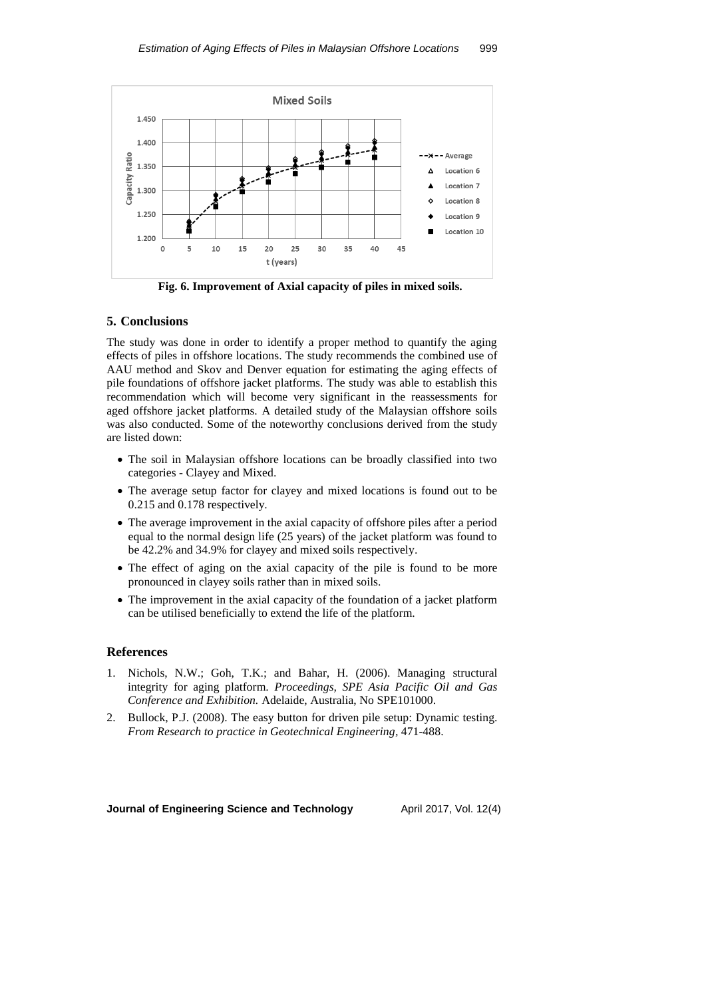

**Fig. 6. Improvement of Axial capacity of piles in mixed soils.**

### **5. Conclusions**

The study was done in order to identify a proper method to quantify the aging effects of piles in offshore locations. The study recommends the combined use of AAU method and Skov and Denver equation for estimating the aging effects of pile foundations of offshore jacket platforms. The study was able to establish this recommendation which will become very significant in the reassessments for aged offshore jacket platforms. A detailed study of the Malaysian offshore soils was also conducted. Some of the noteworthy conclusions derived from the study are listed down:

- The soil in Malaysian offshore locations can be broadly classified into two categories - Clayey and Mixed.
- The average setup factor for clayey and mixed locations is found out to be 0.215 and 0.178 respectively.
- The average improvement in the axial capacity of offshore piles after a period equal to the normal design life (25 years) of the jacket platform was found to be 42.2% and 34.9% for clayey and mixed soils respectively.
- The effect of aging on the axial capacity of the pile is found to be more pronounced in clayey soils rather than in mixed soils.
- The improvement in the axial capacity of the foundation of a jacket platform can be utilised beneficially to extend the life of the platform.

## **References**

- 1. Nichols, N.W.; Goh, T.K.; and Bahar, H. (2006). Managing structural integrity for aging platform. *Proceedings, SPE Asia Pacific Oil and Gas Conference and Exhibition.* Adelaide, Australia, No SPE101000.
- 2. Bullock, P.J. (2008). The easy button for driven pile setup: Dynamic testing. *From Research to practice in Geotechnical Engineering,* 471-488.